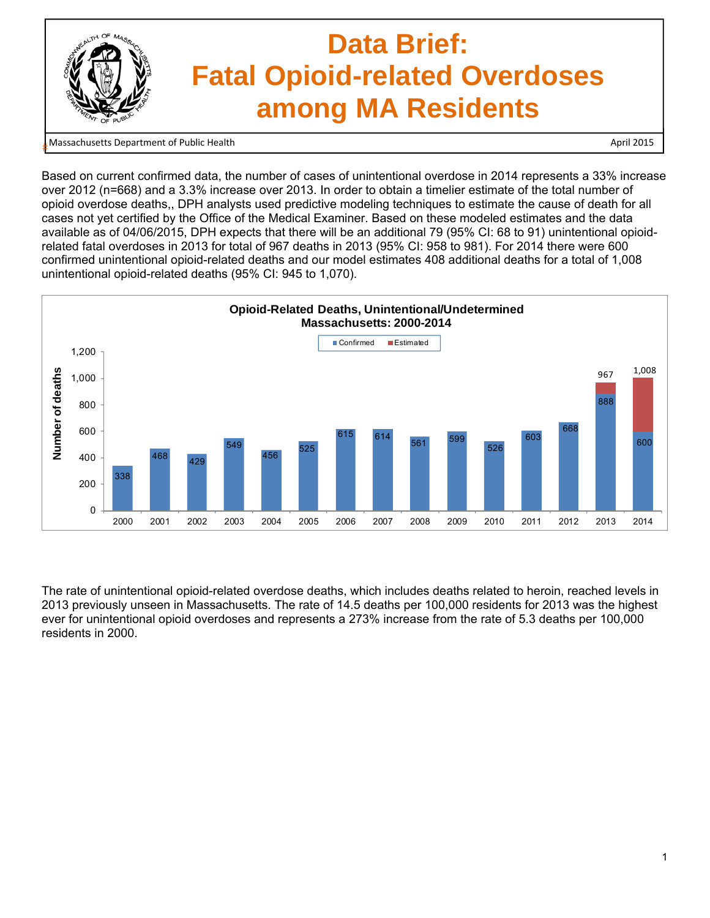

#

Based on current confirmed data, the number of cases of unintentional overdose in 2014 represents a 33% increase over 2012 (n=668) and a 3.3% increase over 2013. In order to obtain a timelier estimate of the total number of opioid overdose deaths,, DPH analysts used predictive modeling techniques to estimate the cause of death for all cases not yet certified by the Office of the Medical Examiner. Based on these modeled estimates and the data available as of 04/06/2015, DPH expects that there will be an additional 79 (95% CI: 68 to 91) unintentional opioidrelated fatal overdoses in 2013 for total of 967 deaths in 2013 (95% CI: 958 to 981). For 2014 there were 600 confirmed unintentional opioid-related deaths and our model estimates 408 additional deaths for a total of 1,008 unintentional opioid-related deaths (95% CI: 945 to 1,070).



The rate of unintentional opioid-related overdose deaths, which includes deaths related to heroin, reached levels in 2013 previously unseen in Massachusetts. The rate of 14.5 deaths per 100,000 residents for 2013 was the highest ever for unintentional opioid overdoses and represents a 273% increase from the rate of 5.3 deaths per 100,000 residents in 2000.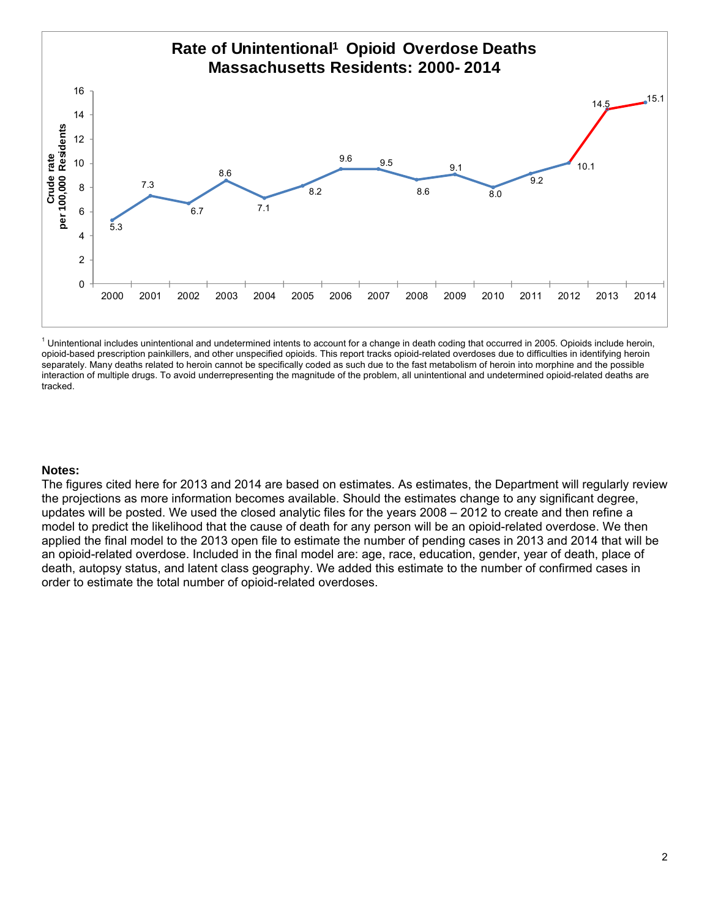

<sup>1</sup> Unintentional includes unintentional and undetermined intents to account for a change in death coding that occurred in 2005. Opioids include heroin, opioid-based prescription painkillers, and other unspecified opioids. This report tracks opioid-related overdoses due to difficulties in identifying heroin separately. Many deaths related to heroin cannot be specifically coded as such due to the fast metabolism of heroin into morphine and the possible interaction of multiple drugs. To avoid underrepresenting the magnitude of the problem, all unintentional and undetermined opioid-related deaths are tracked.

## **Notes:**

The figures cited here for 2013 and 2014 are based on estimates. As estimates, the Department will regularly review the projections as more information becomes available. Should the estimates change to any significant degree, updates will be posted. We used the closed analytic files for the years 2008 – 2012 to create and then refine a model to predict the likelihood that the cause of death for any person will be an opioid-related overdose. We then applied the final model to the 2013 open file to estimate the number of pending cases in 2013 and 2014 that will be an opioid-related overdose. Included in the final model are: age, race, education, gender, year of death, place of death, autopsy status, and latent class geography. We added this estimate to the number of confirmed cases in order to estimate the total number of opioid-related overdoses.